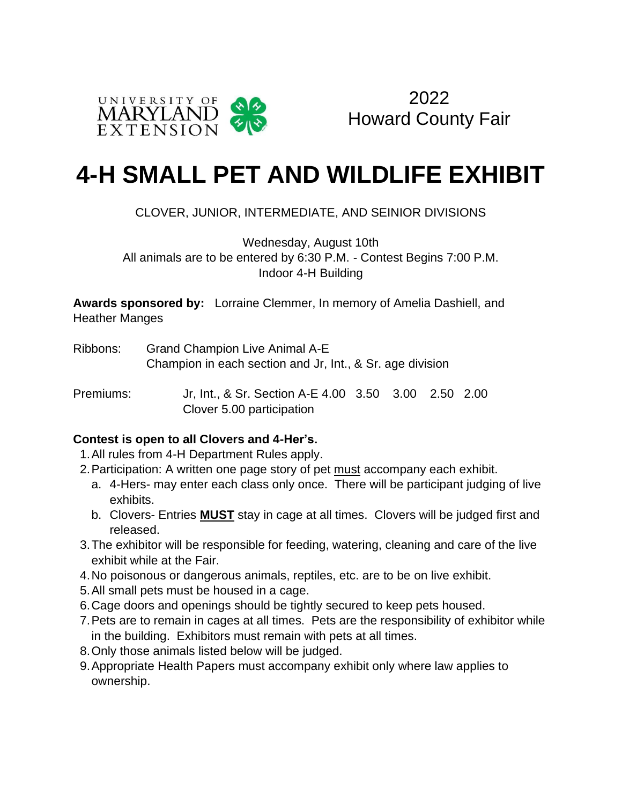

2022 Howard County Fair

## **4-H SMALL PET AND WILDLIFE EXHIBIT**

## CLOVER, JUNIOR, INTERMEDIATE, AND SEINIOR DIVISIONS

Wednesday, August 10th All animals are to be entered by 6:30 P.M. - Contest Begins 7:00 P.M. Indoor 4-H Building

**Awards sponsored by:** Lorraine Clemmer, In memory of Amelia Dashiell, and Heather Manges

- Ribbons: Grand Champion Live Animal A-E Champion in each section and Jr, Int., & Sr. age division
- Premiums: Jr, Int., & Sr. Section A-E 4.00 3.50 3.00 2.50 2.00 Clover 5.00 participation

## **Contest is open to all Clovers and 4-Her's.**

- 1.All rules from 4-H Department Rules apply.
- 2.Participation: A written one page story of pet must accompany each exhibit.
	- a. 4-Hers- may enter each class only once. There will be participant judging of live exhibits.
	- b. Clovers- Entries **MUST** stay in cage at all times. Clovers will be judged first and released.
- 3.The exhibitor will be responsible for feeding, watering, cleaning and care of the live exhibit while at the Fair.
- 4.No poisonous or dangerous animals, reptiles, etc. are to be on live exhibit.
- 5.All small pets must be housed in a cage.
- 6.Cage doors and openings should be tightly secured to keep pets housed.
- 7.Pets are to remain in cages at all times. Pets are the responsibility of exhibitor while in the building. Exhibitors must remain with pets at all times.
- 8.Only those animals listed below will be judged.
- 9.Appropriate Health Papers must accompany exhibit only where law applies to ownership.